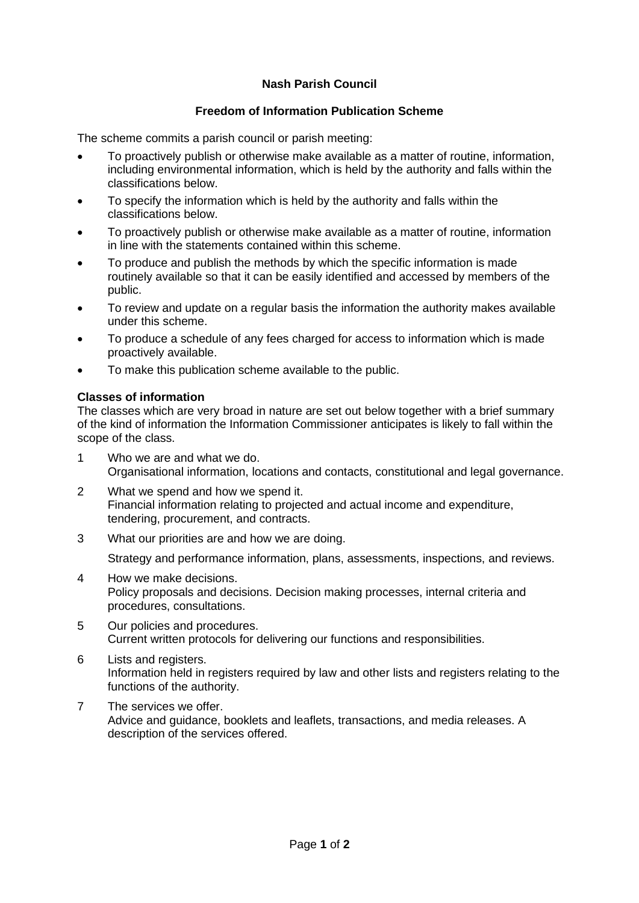# **Nash Parish Council**

### **Freedom of Information Publication Scheme**

The scheme commits a parish council or parish meeting:

- To proactively publish or otherwise make available as a matter of routine, information, including environmental information, which is held by the authority and falls within the classifications below.
- To specify the information which is held by the authority and falls within the classifications below.
- To proactively publish or otherwise make available as a matter of routine, information in line with the statements contained within this scheme.
- To produce and publish the methods by which the specific information is made routinely available so that it can be easily identified and accessed by members of the public.
- To review and update on a regular basis the information the authority makes available under this scheme.
- To produce a schedule of any fees charged for access to information which is made proactively available.
- To make this publication scheme available to the public.

#### **Classes of information**

The classes which are very broad in nature are set out below together with a brief summary of the kind of information the Information Commissioner anticipates is likely to fall within the scope of the class.

- 1 Who we are and what we do. Organisational information, locations and contacts, constitutional and legal governance.
- 2 What we spend and how we spend it. Financial information relating to projected and actual income and expenditure, tendering, procurement, and contracts.
- 3 What our priorities are and how we are doing.

Strategy and performance information, plans, assessments, inspections, and reviews.

- 4 How we make decisions. Policy proposals and decisions. Decision making processes, internal criteria and procedures, consultations.
- 5 Our policies and procedures. Current written protocols for delivering our functions and responsibilities.
- 6 Lists and registers. Information held in registers required by law and other lists and registers relating to the functions of the authority.
- 7 The services we offer. Advice and guidance, booklets and leaflets, transactions, and media releases. A description of the services offered.